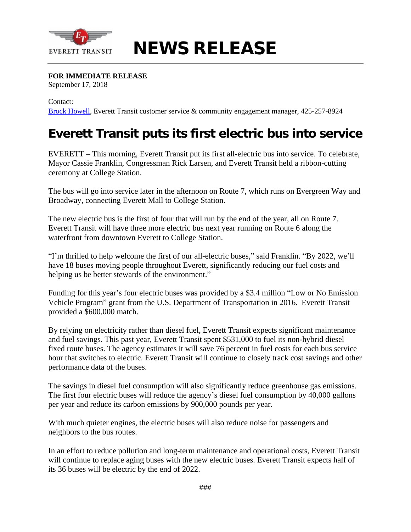

## **NEWS RELEASE**

## **FOR IMMEDIATE RELEASE**

September 17, 2018

Contact:

[Brock Howell](mailto:bhowell@everettwa.gov), Everett Transit customer service & community engagement manager, 425-257-8924

## **Everett Transit puts its first electric bus into service**

EVERETT – This morning, Everett Transit put its first all-electric bus into service. To celebrate, Mayor Cassie Franklin, Congressman Rick Larsen, and Everett Transit held a ribbon-cutting ceremony at College Station.

The bus will go into service later in the afternoon on Route 7, which runs on Evergreen Way and Broadway, connecting Everett Mall to College Station.

The new electric bus is the first of four that will run by the end of the year, all on Route 7. Everett Transit will have three more electric bus next year running on Route 6 along the waterfront from downtown Everett to College Station.

"I'm thrilled to help welcome the first of our all-electric buses," said Franklin. "By 2022, we'll have 18 buses moving people throughout Everett, significantly reducing our fuel costs and helping us be better stewards of the environment."

Funding for this year's four electric buses was provided by a \$3.4 million "Low or No Emission Vehicle Program" grant from the U.S. Department of Transportation in 2016. Everett Transit provided a \$600,000 match.

By relying on electricity rather than diesel fuel, Everett Transit expects significant maintenance and fuel savings. This past year, Everett Transit spent \$531,000 to fuel its non-hybrid diesel fixed route buses. The agency estimates it will save 76 percent in fuel costs for each bus service hour that switches to electric. Everett Transit will continue to closely track cost savings and other performance data of the buses.

The savings in diesel fuel consumption will also significantly reduce greenhouse gas emissions. The first four electric buses will reduce the agency's diesel fuel consumption by 40,000 gallons per year and reduce its carbon emissions by 900,000 pounds per year.

With much quieter engines, the electric buses will also reduce noise for passengers and neighbors to the bus routes.

In an effort to reduce pollution and long-term maintenance and operational costs, Everett Transit will continue to replace aging buses with the new electric buses. Everett Transit expects half of its 36 buses will be electric by the end of 2022.